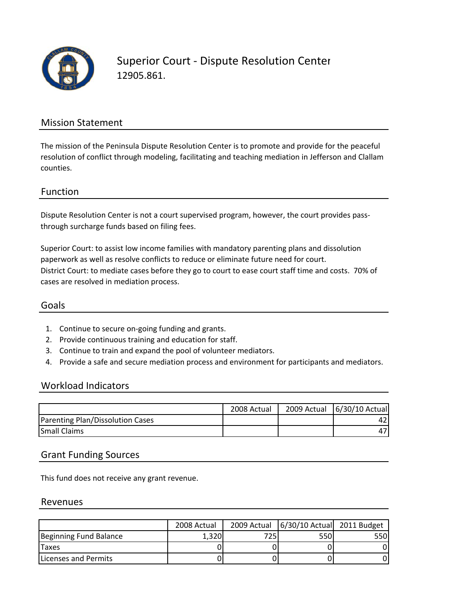

Superior Court ‐ Dispute Resolution Center 12905.861.

### Mission Statement

The mission of the Peninsula Dispute Resolution Center is to promote and provide for the peaceful resolution of conflict through modeling, facilitating and teaching mediation in Jefferson and Clallam counties.

### Function

Dispute Resolution Center is not a court supervised program, however, the court provides passthrough surcharge funds based on filing fees.

Superior Court: to assist low income families with mandatory parenting plans and dissolution paperwork as well as resolve conflicts to reduce or eliminate future need for court. District Court: to mediate cases before they go to court to ease court staff time and costs. 70% of cases are resolved in mediation process.

### Goals

- 1. Continue to secure on‐going funding and grants.
- 2. Provide continuous training and education for staff.
- 3. Continue to train and expand the pool of volunteer mediators.
- 4. Provide a safe and secure mediation process and environment for participants and mediators.

#### Workload Indicators

|                                  | 2008 Actual | 2009 Actual 6/30/10 Actual |
|----------------------------------|-------------|----------------------------|
| Parenting Plan/Dissolution Cases |             |                            |
| <b>Small Claims</b>              |             |                            |

#### Grant Funding Sources

This fund does not receive any grant revenue.

#### Revenues

|                        | 2008 Actual |     | 2009 Actual   6/30/10 Actual 2011 Budget |      |
|------------------------|-------------|-----|------------------------------------------|------|
| Beginning Fund Balance | 1.320       | 725 | 550                                      | 550l |
| <b>Taxes</b>           |             |     |                                          |      |
| Licenses and Permits   |             |     |                                          |      |